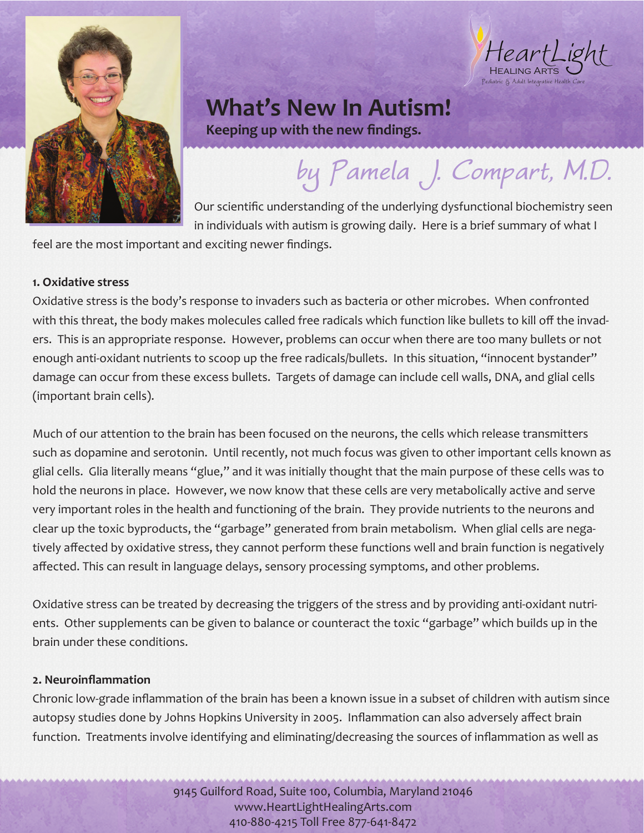

HeartLight Pediatric & Adult Integrative Health Care

## **What's New In Autism!**

**Keeping up with the new findings.**

# **by Pamela J. Compart, M.D.**

Our scientific understanding of the underlying dysfunctional biochemistry seen in individuals with autism is growing daily. Here is a brief summary of what I

feel are the most important and exciting newer findings.

### **1. Oxidative stress**

Oxidative stress is the body's response to invaders such as bacteria or other microbes. When confronted with this threat, the body makes molecules called free radicals which function like bullets to kill off the invaders. This is an appropriate response. However, problems can occur when there are too many bullets or not enough anti-oxidant nutrients to scoop up the free radicals/bullets. In this situation, "innocent bystander" damage can occur from these excess bullets. Targets of damage can include cell walls, DNA, and glial cells (important brain cells).

Much of our attention to the brain has been focused on the neurons, the cells which release transmitters such as dopamine and serotonin. Until recently, not much focus was given to other important cells known as glial cells. Glia literally means "glue," and it was initially thought that the main purpose of these cells was to hold the neurons in place. However, we now know that these cells are very metabolically active and serve very important roles in the health and functioning of the brain. They provide nutrients to the neurons and clear up the toxic byproducts, the "garbage" generated from brain metabolism. When glial cells are negatively affected by oxidative stress, they cannot perform these functions well and brain function is negatively affected. This can result in language delays, sensory processing symptoms, and other problems.

Oxidative stress can be treated by decreasing the triggers of the stress and by providing anti-oxidant nutrients. Other supplements can be given to balance or counteract the toxic "garbage" which builds up in the brain under these conditions.

### **2. Neuroinflammation**

Chronic low-grade inflammation of the brain has been a known issue in a subset of children with autism since autopsy studies done by Johns Hopkins University in 2005. Inflammation can also adversely affect brain function. Treatments involve identifying and eliminating/decreasing the sources of inflammation as well as

> 9145 Guilford Road, Suite 100, Columbia, Maryland 21046 www.HeartLightHealingArts.com 410-880-4215 Toll Free 877-641-8472